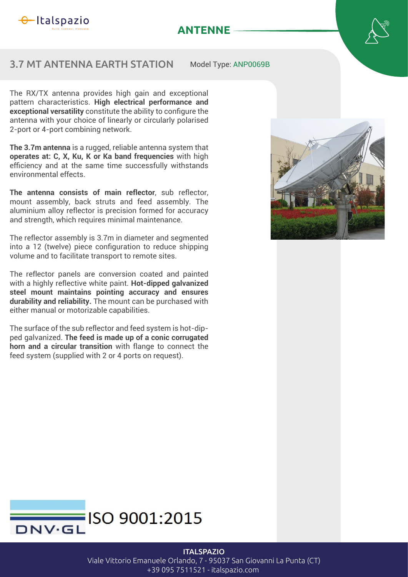

## **ANTENNE**

## 3.7 MT ANTENNA EARTH STATION

Model Type: ANP0069B

The RX/TX antenna provides high gain and exceptional pattern characteristics. **High electrical performance and**  exceptional versatility constitute the ability to configure the antenna with your choice of linearly or circularly polarised 2-port or 4-port combining network.

**The 3.7m antenna** is a rugged, reliable antenna system that **operates at: C, X, Ku, K or Ka band frequencies** with high efficiency and at the same time successfully withstands environmental effects.

**The antenna consists of main reflector**, sub reflector, mount assembly, back struts and feed assembly. The aluminium alloy reflector is precision formed for accuracy and strength, which requires minimal maintenance.

The reflector assembly is 3.7m in diameter and segmented into a 12 (twelve) piece configuration to reduce shipping volume and to facilitate transport to remote sites.

The reflector panels are conversion coated and painted with a highly reflective white paint. **Hot-dipped galvanized steel mount maintains pointing accuracy and ensures durability and reliability.** The mount can be purchased with either manual or motorizable capabilities.

The surface of the sub reflector and feed system is hot-dipped galvanized. **The feed is made up of a conic corrugated horn and a circular transition** with flange to connect the feed system (supplied with 2 or 4 ports on request).





## **ITALSPAZIO**

Viale Vittorio Emanuele Orlando, 7 - 95037 San Giovanni La Punta (CT) +39 095 7511521 - italspazio.com